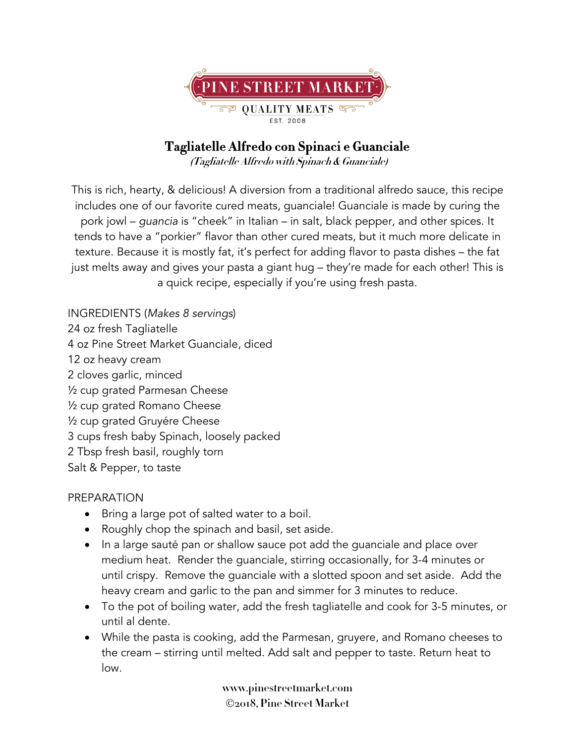

## **Tagliatelle Alfredo con Spinaci e Guanciale**

 **(Tagliatelle Alfredo with Spinach & Guanciale)**

This is rich, hearty, & delicious! A diversion from a traditional alfredo sauce, this recipe includes one of our favorite cured meats, guanciale! Guanciale is made by curing the pork jowl – *guancia* is "cheek" in Italian – in salt, black pepper, and other spices. It tends to have a "porkier" flavor than other cured meats, but it much more delicate in texture. Because it is mostly fat, it's perfect for adding flavor to pasta dishes – the fat just melts away and gives your pasta a giant hug – they're made for each other! This is a quick recipe, especially if you're using fresh pasta.

INGREDIENTS (*Makes 8 servings*) 24 oz fresh Tagliatelle 4 oz Pine Street Market Guanciale, diced 12 oz heavy cream 2 cloves garlic, minced ½ cup grated Parmesan Cheese ½ cup grated Romano Cheese ½ cup grated Gruyére Cheese 3 cups fresh baby Spinach, loosely packed 2 Tbsp fresh basil, roughly torn Salt & Pepper, to taste

## PREPARATION

- Bring a large pot of salted water to a boil.
- Roughly chop the spinach and basil, set aside.
- In a large sauté pan or shallow sauce pot add the guanciale and place over medium heat. Render the guanciale, stirring occasionally, for 3-4 minutes or until crispy. Remove the guanciale with a slotted spoon and set aside. Add the heavy cream and garlic to the pan and simmer for 3 minutes to reduce.
- To the pot of boiling water, add the fresh tagliatelle and cook for 3-5 minutes, or until al dente.
- While the pasta is cooking, add the Parmesan, gruyere, and Romano cheeses to the cream – stirring until melted. Add salt and pepper to taste. Return heat to low.

**www.pinestreetmarket.com** Ó**2018, Pine Street Market**